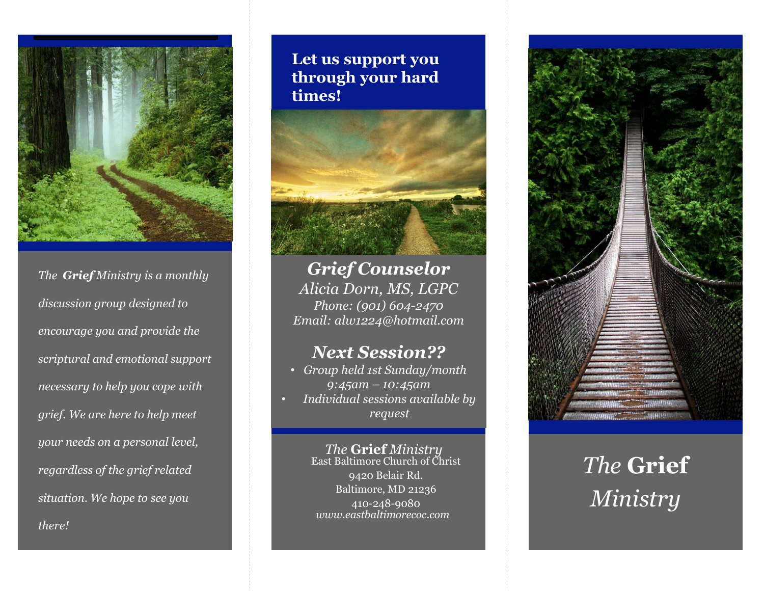

*The Grief Ministry is a monthly discussion group designed to encourage you and provide the scriptural and emotional support necessary to help you cope with grief. We are here to help meet your needs on a personal level, regardless of the grief related situation. We hope to see you there!*

#### **Let us support you through your hard times!**



*Grief Counselor Alicia Dorn, MS, LGPC Phone: (901) 604-2470 Email: alw1224@hotmail.com*

## *Next Session??*

- *Group held 1st Sunday/month 9:45am – 10:45am*
- *Individual sessions available by request*

*The* **Grief** *Ministry* East Baltimore Church of Christ 9420 Belair Rd. Baltimore, MD 21236 410-248-9080 *www.eastbaltimorecoc.com*



# *The* **Grief**  *Ministry*